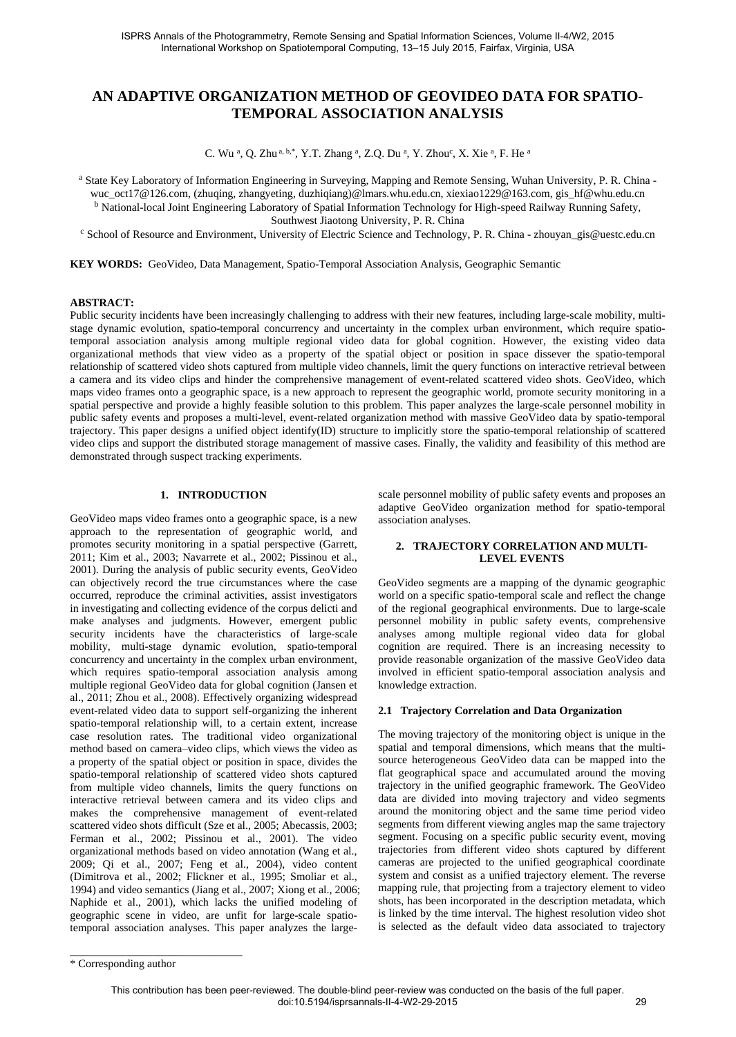# **AN ADAPTIVE ORGANIZATION METHOD OF GEOVIDEO DATA FOR SPATIO-TEMPORAL ASSOCIATION ANALYSIS**

C. Wu <sup>a</sup>, Q. Zhu <sup>a, b,\*</sup>, Y.T. Zhang <sup>a</sup>, Z.Q. Du <sup>a</sup>, Y. Zhou<sup>c</sup>, X. Xie <sup>a</sup>, F. He <sup>a</sup>

a State Key Laboratory of Information Engineering in Surveying, Mapping and Remote Sensing, Wuhan University, P. R. China wuc\_oct17@126.com, (zhuqing, zhangyeting, duzhiqiang)@lmars.whu.edu.cn, xiexiao1229@163.com, gis\_hf@whu.edu.cn

<sup>b</sup> National-local Joint Engineering Laboratory of Spatial Information Technology for High-speed Railway Running Safety, Southwest Jiaotong University, P. R. China

<sup>c</sup> School of Resource and Environment, University of Electric Science and Technology, P. R. China - zhouyan\_gis@uestc.edu.cn

**KEY WORDS:** GeoVideo, Data Management, Spatio-Temporal Association Analysis, Geographic Semantic

#### **ABSTRACT:**

Public security incidents have been increasingly challenging to address with their new features, including large-scale mobility, multistage dynamic evolution, spatio-temporal concurrency and uncertainty in the complex urban environment, which require spatiotemporal association analysis among multiple regional video data for global cognition. However, the existing video data organizational methods that view video as a property of the spatial object or position in space dissever the spatio-temporal relationship of scattered video shots captured from multiple video channels, limit the query functions on interactive retrieval between a camera and its video clips and hinder the comprehensive management of event-related scattered video shots. GeoVideo, which maps video frames onto a geographic space, is a new approach to represent the geographic world, promote security monitoring in a spatial perspective and provide a highly feasible solution to this problem. This paper analyzes the large-scale personnel mobility in public safety events and proposes a multi-level, event-related organization method with massive GeoVideo data by spatio-temporal trajectory. This paper designs a unified object identify(ID) structure to implicitly store the spatio-temporal relationship of scattered video clips and support the distributed storage management of massive cases. Finally, the validity and feasibility of this method are demonstrated through suspect tracking experiments.

# **1. INTRODUCTION**

GeoVideo maps video frames onto a geographic space, is a new approach to the representation of geographic world, and promotes security monitoring in a spatial perspective (Garrett, 2011; Kim et al., 2003; Navarrete et al., 2002; Pissinou et al., 2001). During the analysis of public security events, GeoVideo can objectively record the true circumstances where the case occurred, reproduce the criminal activities, assist investigators in investigating and collecting evidence of the corpus delicti and make analyses and judgments. However, emergent public security incidents have the characteristics of large-scale mobility, multi-stage dynamic evolution, spatio-temporal concurrency and uncertainty in the complex urban environment, which requires spatio-temporal association analysis among multiple regional GeoVideo data for global cognition (Jansen et al., 2011; Zhou et al., 2008). Effectively organizing widespread event-related video data to support self-organizing the inherent spatio-temporal relationship will, to a certain extent, increase case resolution rates. The traditional video organizational method based on camera–video clips, which views the video as a property of the spatial object or position in space, divides the spatio-temporal relationship of scattered video shots captured from multiple video channels, limits the query functions on interactive retrieval between camera and its video clips and makes the comprehensive management of event-related scattered video shots difficult (Sze et al., 2005; Abecassis, 2003; Ferman et al., 2002; Pissinou et al., 2001). The video organizational methods based on video annotation (Wang et al., 2009; Qi et al., 2007; Feng et al., 2004), video content (Dimitrova et al., 2002; Flickner et al., 1995; Smoliar et al., 1994) and video semantics (Jiang et al., 2007; Xiong et al., 2006; Naphide et al., 2001), which lacks the unified modeling of geographic scene in video, are unfit for large-scale spatiotemporal association analyses. This paper analyzes the largescale personnel mobility of public safety events and proposes an adaptive GeoVideo organization method for spatio-temporal association analyses.

# **2. TRAJECTORY CORRELATION AND MULTI-LEVEL EVENTS**

GeoVideo segments are a mapping of the dynamic geographic world on a specific spatio-temporal scale and reflect the change of the regional geographical environments. Due to large-scale personnel mobility in public safety events, comprehensive analyses among multiple regional video data for global cognition are required. There is an increasing necessity to provide reasonable organization of the massive GeoVideo data involved in efficient spatio-temporal association analysis and knowledge extraction.

#### **2.1 Trajectory Correlation and Data Organization**

The moving trajectory of the monitoring object is unique in the spatial and temporal dimensions, which means that the multisource heterogeneous GeoVideo data can be mapped into the flat geographical space and accumulated around the moving trajectory in the unified geographic framework. The GeoVideo data are divided into moving trajectory and video segments around the monitoring object and the same time period video segments from different viewing angles map the same trajectory segment. Focusing on a specific public security event, moving trajectories from different video shots captured by different cameras are projected to the unified geographical coordinate system and consist as a unified trajectory element. The reverse mapping rule, that projecting from a trajectory element to video shots, has been incorporated in the description metadata, which is linked by the time interval. The highest resolution video shot is selected as the default video data associated to trajectory

\_\_\_\_\_\_\_\_\_\_\_\_\_\_\_\_\_\_\_\_\_\_\_\_\_\_\_\_\_\_\_

<sup>\*</sup> Corresponding author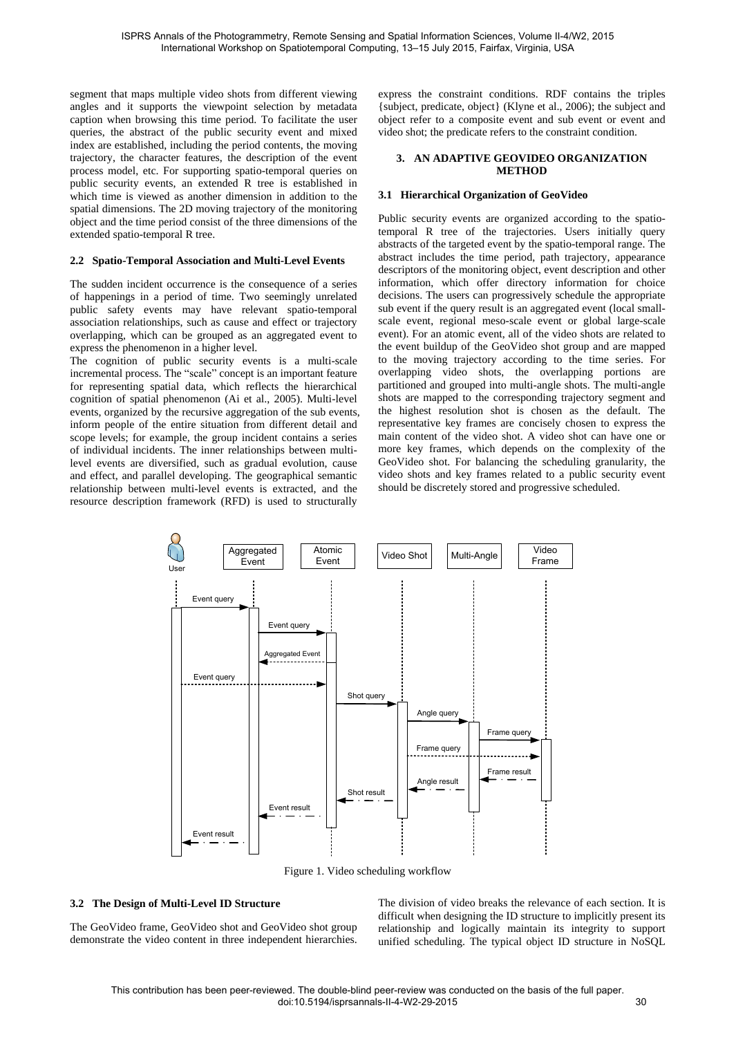segment that maps multiple video shots from different viewing angles and it supports the viewpoint selection by metadata caption when browsing this time period. To facilitate the user queries, the abstract of the public security event and mixed index are established, including the period contents, the moving trajectory, the character features, the description of the event process model, etc. For supporting spatio-temporal queries on public security events, an extended R tree is established in which time is viewed as another dimension in addition to the spatial dimensions. The 2D moving trajectory of the monitoring object and the time period consist of the three dimensions of the extended spatio-temporal R tree.

# **2.2 Spatio-Temporal Association and Multi-Level Events**

The sudden incident occurrence is the consequence of a series of happenings in a period of time. Two seemingly unrelated public safety events may have relevant spatio-temporal association relationships, such as cause and effect or trajectory overlapping, which can be grouped as an aggregated event to express the phenomenon in a higher level.

The cognition of public security events is a multi-scale incremental process. The "scale" concept is an important feature for representing spatial data, which reflects the hierarchical cognition of spatial phenomenon (Ai et al., 2005). Multi-level events, organized by the recursive aggregation of the sub events, inform people of the entire situation from different detail and scope levels; for example, the group incident contains a series of individual incidents. The inner relationships between multilevel events are diversified, such as gradual evolution, cause and effect, and parallel developing. The geographical semantic relationship between multi-level events is extracted, and the resource description framework (RFD) is used to structurally

express the constraint conditions. RDF contains the triples {subject, predicate, object} (Klyne et al., 2006); the subject and object refer to a composite event and sub event or event and video shot; the predicate refers to the constraint condition.

#### **3. AN ADAPTIVE GEOVIDEO ORGANIZATION METHOD**

### **3.1 Hierarchical Organization of GeoVideo**

Public security events are organized according to the spatiotemporal R tree of the trajectories. Users initially query abstracts of the targeted event by the spatio-temporal range. The abstract includes the time period, path trajectory, appearance descriptors of the monitoring object, event description and other information, which offer directory information for choice decisions. The users can progressively schedule the appropriate sub event if the query result is an aggregated event (local smallscale event, regional meso-scale event or global large-scale event). For an atomic event, all of the video shots are related to the event buildup of the GeoVideo shot group and are mapped to the moving trajectory according to the time series. For overlapping video shots, the overlapping portions are partitioned and grouped into multi-angle shots. The multi-angle shots are mapped to the corresponding trajectory segment and the highest resolution shot is chosen as the default. The representative key frames are concisely chosen to express the main content of the video shot. A video shot can have one or more key frames, which depends on the complexity of the GeoVideo shot. For balancing the scheduling granularity, the video shots and key frames related to a public security event should be discretely stored and progressive scheduled.



Figure 1. Video scheduling workflow

# **3.2 The Design of Multi-Level ID Structure**

The GeoVideo frame, GeoVideo shot and GeoVideo shot group demonstrate the video content in three independent hierarchies.

The division of video breaks the relevance of each section. It is difficult when designing the ID structure to implicitly present its relationship and logically maintain its integrity to support unified scheduling. The typical object ID structure in NoSQL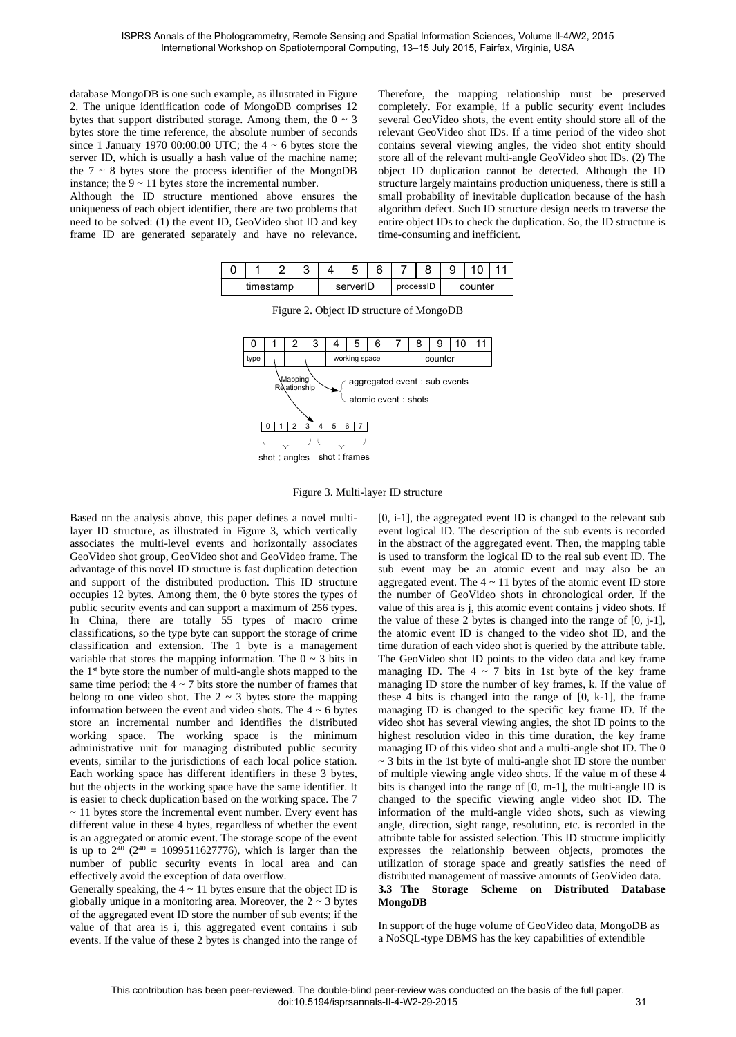database MongoDB is one such example, as illustrated i[n Figure](#page-2-0)  [2.](#page-2-0) The unique identification code of MongoDB comprises 12 bytes that support distributed storage. Among them, the  $0 \sim 3$ bytes store the time reference, the absolute number of seconds since 1 January 1970 00:00:00 UTC; the  $4 \sim 6$  bytes store the server ID, which is usually a hash value of the machine name; the  $7 \sim 8$  bytes store the process identifier of the MongoDB instance; the  $9 \sim 11$  bytes store the incremental number.

<span id="page-2-0"></span>Although the ID structure mentioned above ensures the uniqueness of each object identifier, there are two problems that need to be solved: (1) the event ID, GeoVideo shot ID and key frame ID are generated separately and have no relevance. Therefore, the mapping relationship must be preserved completely. For example, if a public security event includes several GeoVideo shots, the event entity should store all of the relevant GeoVideo shot IDs. If a time period of the video shot contains several viewing angles, the video shot entity should store all of the relevant multi-angle GeoVideo shot IDs. (2) The object ID duplication cannot be detected. Although the ID structure largely maintains production uniqueness, there is still a small probability of inevitable duplication because of the hash algorithm defect. Such ID structure design needs to traverse the entire object IDs to check the duplication. So, the ID structure is time-consuming and inefficient.

|           |  |  | ັ |          | ັ | 6         |  |         |  |  |  |
|-----------|--|--|---|----------|---|-----------|--|---------|--|--|--|
| timestamp |  |  |   | serverID |   | processID |  | counter |  |  |  |



Figure 2. Object ID structure of MongoDB



<span id="page-2-1"></span>Based on the analysis above, this paper defines a novel multilayer ID structure, as illustrated in [Figure 3,](#page-2-1) which vertically associates the multi-level events and horizontally associates GeoVideo shot group, GeoVideo shot and GeoVideo frame. The advantage of this novel ID structure is fast duplication detection and support of the distributed production. This ID structure occupies 12 bytes. Among them, the 0 byte stores the types of public security events and can support a maximum of 256 types. In China, there are totally 55 types of macro crime classifications, so the type byte can support the storage of crime classification and extension. The 1 byte is a management variable that stores the mapping information. The  $0 \sim 3$  bits in the 1st byte store the number of multi-angle shots mapped to the same time period; the  $4 \sim 7$  bits store the number of frames that belong to one video shot. The  $2 \sim 3$  bytes store the mapping information between the event and video shots. The  $4 \sim 6$  bytes store an incremental number and identifies the distributed working space. The working space is the minimum administrative unit for managing distributed public security events, similar to the jurisdictions of each local police station. Each working space has different identifiers in these 3 bytes, but the objects in the working space have the same identifier. It is easier to check duplication based on the working space. The 7  $\sim$  11 bytes store the incremental event number. Every event has different value in these 4 bytes, regardless of whether the event is an aggregated or atomic event. The storage scope of the event is up to  $2^{40}$  ( $2^{40}$  = 1099511627776), which is larger than the number of public security events in local area and can effectively avoid the exception of data overflow.

Generally speaking, the  $4 \sim 11$  bytes ensure that the object ID is globally unique in a monitoring area. Moreover, the  $2 \sim 3$  bytes of the aggregated event ID store the number of sub events; if the value of that area is i, this aggregated event contains i sub events. If the value of these 2 bytes is changed into the range of

[0, i-1], the aggregated event ID is changed to the relevant sub event logical ID. The description of the sub events is recorded in the abstract of the aggregated event. Then, the mapping table is used to transform the logical ID to the real sub event ID. The sub event may be an atomic event and may also be an aggregated event. The  $4 \sim 11$  bytes of the atomic event ID store the number of GeoVideo shots in chronological order. If the value of this area is j, this atomic event contains j video shots. If the value of these 2 bytes is changed into the range of [0, j-1], the atomic event ID is changed to the video shot ID, and the time duration of each video shot is queried by the attribute table. The GeoVideo shot ID points to the video data and key frame managing ID. The  $4 \sim 7$  bits in 1st byte of the key frame managing ID store the number of key frames, k. If the value of these 4 bits is changed into the range of [0, k-1], the frame managing ID is changed to the specific key frame ID. If the video shot has several viewing angles, the shot ID points to the highest resolution video in this time duration, the key frame managing ID of this video shot and a multi-angle shot ID. The 0  $\sim$  3 bits in the 1st byte of multi-angle shot ID store the number of multiple viewing angle video shots. If the value m of these 4 bits is changed into the range of [0, m-1], the multi-angle ID is changed to the specific viewing angle video shot ID. The information of the multi-angle video shots, such as viewing angle, direction, sight range, resolution, etc. is recorded in the attribute table for assisted selection. This ID structure implicitly expresses the relationship between objects, promotes the utilization of storage space and greatly satisfies the need of distributed management of massive amounts of GeoVideo data. **3.3 The Storage Scheme on Distributed Database MongoDB** 

In support of the huge volume of GeoVideo data, MongoDB as a NoSQL-type DBMS has the key capabilities of extendible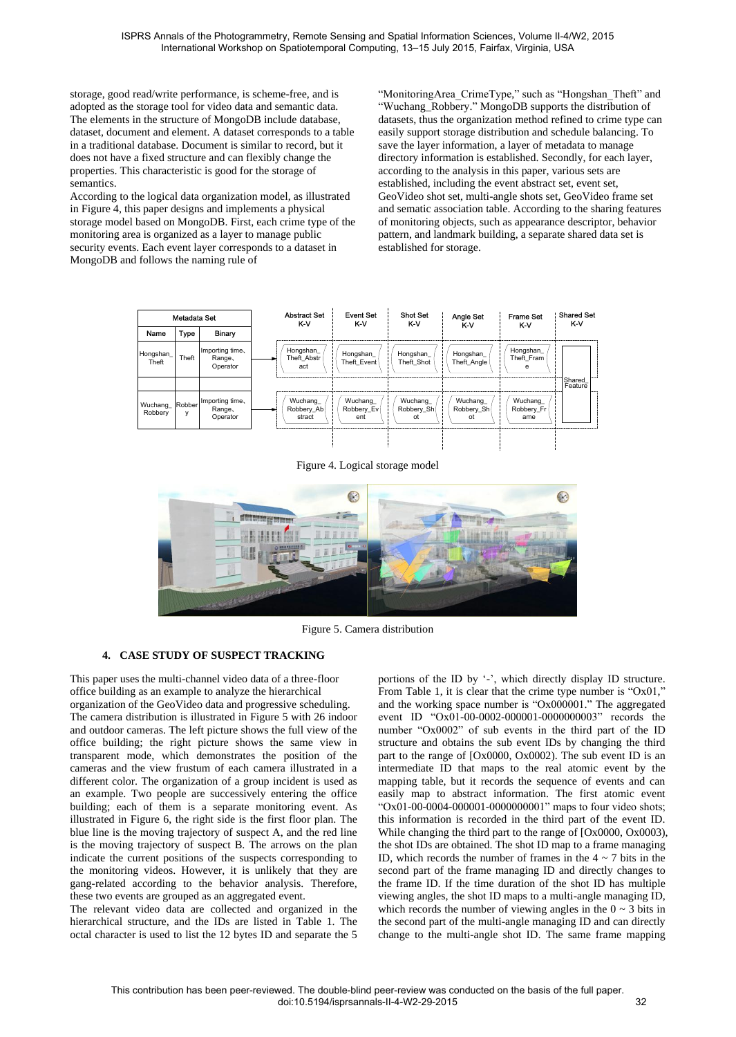storage, good read/write performance, is scheme-free, and is adopted as the storage tool for video data and semantic data. The elements in the structure of MongoDB include database, dataset, document and element. A dataset corresponds to a table in a traditional database. Document is similar to record, but it does not have a fixed structure and can flexibly change the properties. This characteristic is good for the storage of semantics.

According to the logical data organization model, as illustrated in [Figure 4,](#page-3-0) this paper designs and implements a physical storage model based on MongoDB. First, each crime type of the monitoring area is organized as a layer to manage public security events. Each event layer corresponds to a dataset in MongoDB and follows the naming rule of

"MonitoringArea\_CrimeType," such as "Hongshan\_Theft" and "Wuchang\_Robbery." MongoDB supports the distribution of datasets, thus the organization method refined to crime type can easily support storage distribution and schedule balancing. To save the layer information, a layer of metadata to manage directory information is established. Secondly, for each layer, according to the analysis in this paper, various sets are established, including the event abstract set, event set, GeoVideo shot set, multi-angle shots set, GeoVideo frame set and sematic association table. According to the sharing features of monitoring objects, such as appearance descriptor, behavior pattern, and landmark building, a separate shared data set is established for storage.



Figure 4. Logical storage model

<span id="page-3-0"></span>

Figure 5. Camera distribution

# <span id="page-3-1"></span>**4. CASE STUDY OF SUSPECT TRACKING**

This paper uses the multi-channel video data of a three-floor office building as an example to analyze the hierarchical organization of the GeoVideo data and progressive scheduling. The camera distribution is illustrated in [Figure 5](#page-3-1) with 26 indoor and outdoor cameras. The left picture shows the full view of the office building; the right picture shows the same view in transparent mode, which demonstrates the position of the cameras and the view frustum of each camera illustrated in a different color. The organization of a group incident is used as an example. Two people are successively entering the office building; each of them is a separate monitoring event. As illustrated in [Figure 6,](#page-4-0) the right side is the first floor plan. The blue line is the moving trajectory of suspect A, and the red line is the moving trajectory of suspect B. The arrows on the plan indicate the current positions of the suspects corresponding to the monitoring videos. However, it is unlikely that they are gang-related according to the behavior analysis. Therefore, these two events are grouped as an aggregated event.

The relevant video data are collected and organized in the hierarchical structure, and the IDs are listed in [Table 1.](#page-4-1) The octal character is used to list the 12 bytes ID and separate the 5 portions of the ID by '-', which directly display ID structure. From [Table 1,](#page-4-1) it is clear that the crime type number is " $Ox01$ ," and the working space number is "Ox000001." The aggregated event ID "Ox01-00-0002-000001-0000000003" records the number "Ox0002" of sub events in the third part of the ID structure and obtains the sub event IDs by changing the third part to the range of [Ox0000, Ox0002). The sub event ID is an intermediate ID that maps to the real atomic event by the mapping table, but it records the sequence of events and can easily map to abstract information. The first atomic event "Ox01-00-0004-000001-0000000001" maps to four video shots; this information is recorded in the third part of the event ID. While changing the third part to the range of [Ox0000, Ox0003), the shot IDs are obtained. The shot ID map to a frame managing ID, which records the number of frames in the  $4 \sim 7$  bits in the second part of the frame managing ID and directly changes to the frame ID. If the time duration of the shot ID has multiple viewing angles, the shot ID maps to a multi-angle managing ID, which records the number of viewing angles in the  $0 \sim 3$  bits in the second part of the multi-angle managing ID and can directly change to the multi-angle shot ID. The same frame mapping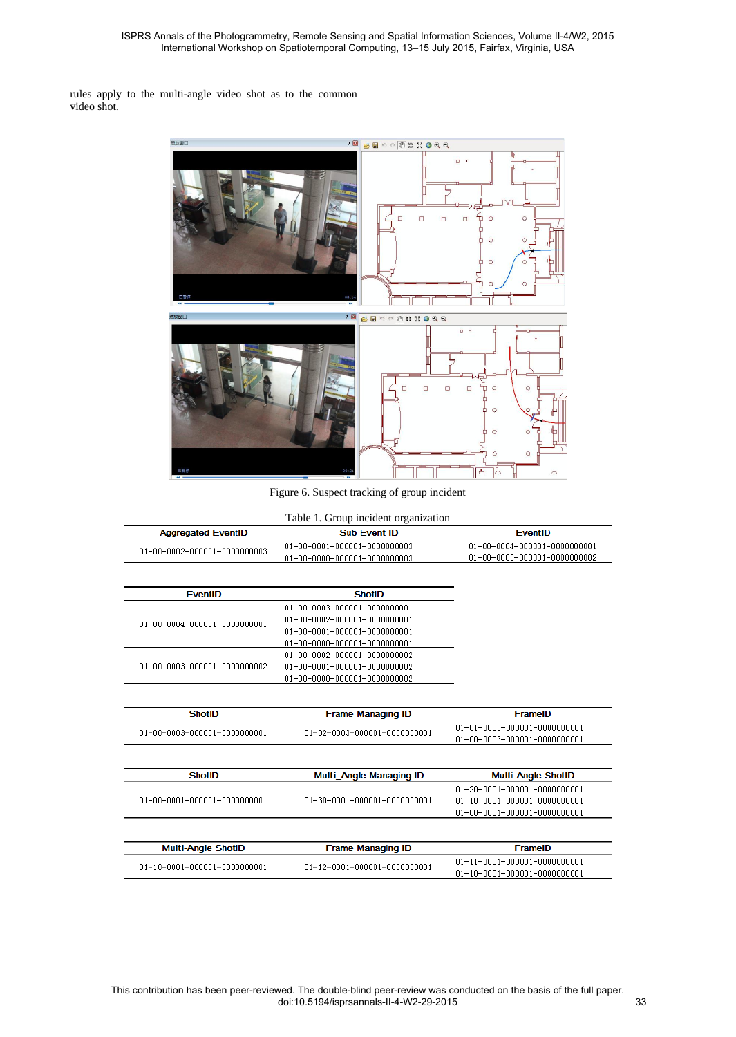rules apply to the multi-angle video shot as to the common video shot.



Figure 6. Suspect tracking of group incident

<span id="page-4-1"></span><span id="page-4-0"></span>

| $01 - 00 - 0001 - 000001 - 0000000003$<br>$01 - 00 - 0000 - 000001 - 0000000003$<br><b>ShotID</b><br>$01 - 00 - 0003 - 000001 - 0000000001$ | $01 - 00 - 0004 - 000001 - 0000000001$<br>01-00-0003-000001-0000000002 |
|---------------------------------------------------------------------------------------------------------------------------------------------|------------------------------------------------------------------------|
|                                                                                                                                             |                                                                        |
|                                                                                                                                             |                                                                        |
|                                                                                                                                             |                                                                        |
|                                                                                                                                             |                                                                        |
|                                                                                                                                             |                                                                        |
| $01 - 00 - 0002 - 000001 - 0000000001$                                                                                                      |                                                                        |
| $01 - 00 - 0001 - 000001 - 0000000001$                                                                                                      |                                                                        |
| 01-00-0000-000001-0000000001                                                                                                                |                                                                        |
| 01-00-0002-000001-0000000002                                                                                                                |                                                                        |
| $01 - 00 - 0001 - 000001 - 0000000002$                                                                                                      |                                                                        |
| 01-00-0000-000001-0000000002                                                                                                                |                                                                        |
|                                                                                                                                             |                                                                        |
| <b>Frame Managing ID</b>                                                                                                                    | FramelD                                                                |
|                                                                                                                                             | $01 - 01 - 0003 - 000001 - 0000000001$                                 |
|                                                                                                                                             | 01-00-0003-000001-0000000001                                           |
|                                                                                                                                             |                                                                        |
| Multi_Angle Managing ID                                                                                                                     | <b>Multi-Angle ShotID</b>                                              |
|                                                                                                                                             | $01 - 20 - 0001 - 000001 - 0000000001$                                 |
| 01-30-0001-000001-0000000001                                                                                                                | $01 - 10 - 0001 - 000001 - 0000000001$                                 |
|                                                                                                                                             | $01 - 00 - 0001 - 000001 - 0000000001$                                 |
| <b>Frame Managing ID</b>                                                                                                                    | FramelD                                                                |
|                                                                                                                                             |                                                                        |
|                                                                                                                                             | $01 - 11 - 0001 - 000001 - 0000000001$                                 |
|                                                                                                                                             | 01-02-0003-000001-0000000001                                           |